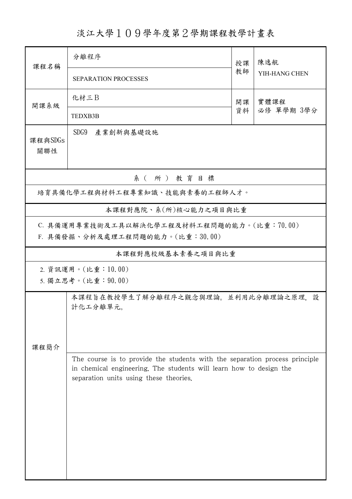## 淡江大學109學年度第2學期課程教學計畫表

| 課程名稱                                                                                                                                                                                        | 分離程序                                            |          | 陳逸航                |  |  |  |  |  |
|---------------------------------------------------------------------------------------------------------------------------------------------------------------------------------------------|-------------------------------------------------|----------|--------------------|--|--|--|--|--|
|                                                                                                                                                                                             | <b>SEPARATION PROCESSES</b>                     | 授課<br>教師 | YIH-HANG CHEN      |  |  |  |  |  |
| 開課系級                                                                                                                                                                                        | 化材三B                                            | 開課<br>資料 | 實體課程<br>必修 單學期 3學分 |  |  |  |  |  |
|                                                                                                                                                                                             | TEDXB3B                                         |          |                    |  |  |  |  |  |
| 課程與SDGs<br>關聯性                                                                                                                                                                              | SDG9 產業創新與基礎設施                                  |          |                    |  |  |  |  |  |
| 系(所)教育目標                                                                                                                                                                                    |                                                 |          |                    |  |  |  |  |  |
| 培育具備化學工程與材料工程專業知識、技能與素養的工程師人才。                                                                                                                                                              |                                                 |          |                    |  |  |  |  |  |
|                                                                                                                                                                                             | 本課程對應院、系(所)核心能力之項目與比重                           |          |                    |  |  |  |  |  |
| C. 具備運用專業技術及工具以解決化學工程及材料工程問題的能力。(比重:70.00)<br>F. 具備發掘、分析及處理工程問題的能力。(比重:30.00)                                                                                                               |                                                 |          |                    |  |  |  |  |  |
|                                                                                                                                                                                             | 本課程對應校級基本素養之項目與比重                               |          |                    |  |  |  |  |  |
| 2. 資訊運用。(比重:10.00)<br>5. 獨立思考。(比重: 90.00)                                                                                                                                                   |                                                 |          |                    |  |  |  |  |  |
| 課程簡介                                                                                                                                                                                        | 本課程旨在教授學生了解分離程序之觀念與理論。並利用此分離理論之原理,設<br>計化工分離單元。 |          |                    |  |  |  |  |  |
| The course is to provide the students with the separation process principle<br>in chemical engineering. The students will learn how to design the<br>separation units using these theories. |                                                 |          |                    |  |  |  |  |  |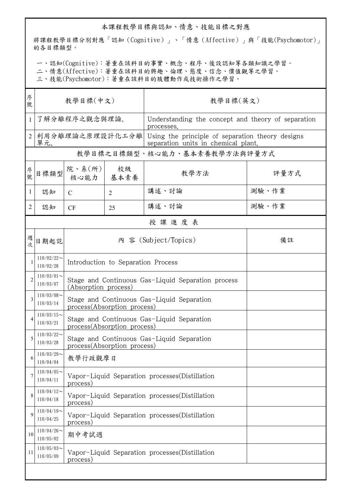## 本課程教學目標與認知、情意、技能目標之對應

將課程教學目標分別對應「認知(Cognitive)」、「情意(Affective)」與「技能(Psychomotor)」 的各目標類型。

一、認知(Cognitive):著重在該科目的事實、概念、程序、後設認知等各類知識之學習。

二、情意(Affective):著重在該科目的興趣、倫理、態度、信念、價值觀等之學習。

三、技能(Psychomotor):著重在該科目的肢體動作或技術操作之學習。

| 序<br>號         | 教學目標(中文)                     |                                                                            |            | 教學目標(英文)                                                                                |       |  |  |  |  |
|----------------|------------------------------|----------------------------------------------------------------------------|------------|-----------------------------------------------------------------------------------------|-------|--|--|--|--|
| 1              | 了解分離程序之觀念與理論。                |                                                                            |            | Understanding the concept and theory of separation<br>processes.                        |       |  |  |  |  |
| $\overline{2}$ | 利用分離理論之原理設計化工分離<br>單元。       |                                                                            |            | Using the principle of separation theory designs<br>separation units in chemical plant. |       |  |  |  |  |
|                | 教學目標之目標類型、核心能力、基本素養教學方法與評量方式 |                                                                            |            |                                                                                         |       |  |  |  |  |
| 序號             | 目標類型                         | 院、系(所)<br>核心能力                                                             | 校級<br>基本素養 | 教學方法                                                                                    | 評量方式  |  |  |  |  |
| 1              | 認知                           | C                                                                          | 2          | 講述、討論                                                                                   | 測驗、作業 |  |  |  |  |
| 2              | 認知                           | CF                                                                         | 25         | 講述、討論                                                                                   | 測驗、作業 |  |  |  |  |
|                | 授課進度表                        |                                                                            |            |                                                                                         |       |  |  |  |  |
| 週次             | 日期起訖                         | 內 容 (Subject/Topics)                                                       |            |                                                                                         | 備註    |  |  |  |  |
| 1              | $110/02/22$ ~<br>110/02/28   | Introduction to Separation Process                                         |            |                                                                                         |       |  |  |  |  |
| $\overline{c}$ | $110/03/01$ ~<br>110/03/07   | Stage and Continuous Gas-Liquid Separation process<br>(Absorption process) |            |                                                                                         |       |  |  |  |  |
| 3              | $110/03/08$ ~<br>110/03/14   | Stage and Continuous Gas-Liquid Separation<br>process(Absorption process)  |            |                                                                                         |       |  |  |  |  |
| 4              | $110/03/15$ ~<br>110/03/21   | Stage and Continuous Gas-Liquid Separation<br>process(Absorption process)  |            |                                                                                         |       |  |  |  |  |
| 5              | $110/03/22$ ~<br>110/03/28   | Stage and Continuous Gas-Liquid Separation<br>process(Absorption process)  |            |                                                                                         |       |  |  |  |  |
| 6              | $110/03/29$ ~<br>110/04/04   | 教學行政觀摩日                                                                    |            |                                                                                         |       |  |  |  |  |
|                | $110/04/05$ ~<br>110/04/11   | Vapor-Liquid Separation processes (Distillation<br>process)                |            |                                                                                         |       |  |  |  |  |
| 8              | $110/04/12$ ~<br>110/04/18   | Vapor-Liquid Separation processes(Distillation<br>process)                 |            |                                                                                         |       |  |  |  |  |
| 9              | $110/04/19$ ~<br>110/04/25   | Vapor-Liquid Separation processes (Distillation<br>process)                |            |                                                                                         |       |  |  |  |  |
| 10             | $110/04/26$ ~<br>110/05/02   | 期中考試週                                                                      |            |                                                                                         |       |  |  |  |  |
| 11             | $110/05/03$ ~<br>110/05/09   | Vapor-Liquid Separation processes (Distillation<br>process)                |            |                                                                                         |       |  |  |  |  |
|                |                              |                                                                            |            |                                                                                         |       |  |  |  |  |